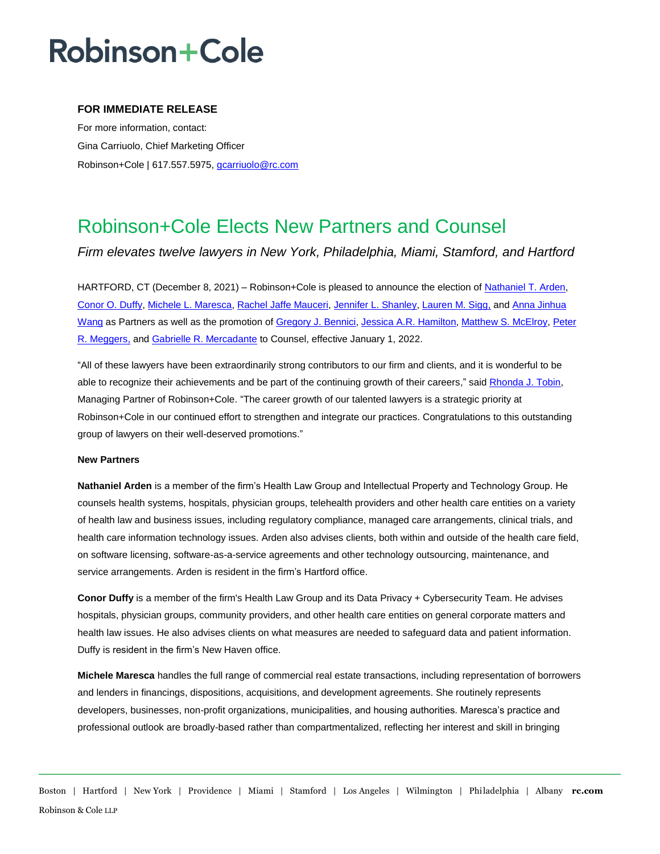# **Robinson+Cole**

### **FOR IMMEDIATE RELEASE**

For more information, contact: Gina Carriuolo, Chief Marketing Officer Robinson+Cole | 617.557.5975, [gcarriuolo@rc.com](mailto:gcarriuolo@rc.com)

### Robinson+Cole Elects New Partners and Counsel

*Firm elevates twelve lawyers in New York, Philadelphia, Miami, Stamford, and Hartford*

HARTFORD, CT (December 8, 2021) – Robinson+Cole is pleased to announce the election o[f Nathaniel T. Arden,](https://rc.com/people/NathanielTArden.cfm) [Conor O. Duffy,](https://www.rc.com/people/ConorODuffy.cfm) [Michele L. Maresca,](https://www.rc.com/people/MicheleLMaresca.cfm) [Rachel Jaffe Mauceri,](https://rc.com/people/RachelMauceri.cfm) [Jennifer L. Shanley,](https://rc.com/people/jenniferlshanley.cfm) [Lauren M. Sigg,](https://rc.com/people/LaurenMSigg.cfm) and [Anna Jinhua](https://rc.com/people/annawang.cfm)  [Wang](https://rc.com/people/annawang.cfm) as Partners as well as the promotion of [Gregory J. Bennici,](http://www.rc.com/people/GregoryJBennici.cfm) [Jessica A.R. Hamilton,](https://www.rc.com/people/JessicaARHamilton.cfm) [Matthew S. McElroy,](https://www.rc.com/people/MatthewSMcElroy.cfm) [Peter](https://www.rc.com/people/PeterRMeggers.cfm)  [R. Meggers,](https://www.rc.com/people/PeterRMeggers.cfm) and [Gabrielle R. Mercadante](https://www.rc.com/people/GabrielleRMercadante.cfm) to Counsel, effective January 1, 2022.

"All of these lawyers have been extraordinarily strong contributors to our firm and clients, and it is wonderful to be able to recognize their achievements and be part of the continuing growth of their careers," said Rhonda J. Tobin, Managing Partner of Robinson+Cole. "The career growth of our talented lawyers is a strategic priority at Robinson+Cole in our continued effort to strengthen and integrate our practices. Congratulations to this outstanding group of lawyers on their well-deserved promotions."

#### **New Partners**

**Nathaniel Arden** is a member of the firm's Health Law Group and Intellectual Property and Technology Group. He counsels health systems, hospitals, physician groups, telehealth providers and other health care entities on a variety of health law and business issues, including regulatory compliance, managed care arrangements, clinical trials, and health care information technology issues. Arden also advises clients, both within and outside of the health care field, on software licensing, software-as-a-service agreements and other technology outsourcing, maintenance, and service arrangements. Arden is resident in the firm's Hartford office.

**Conor Duffy** is a member of the firm's Health Law Group and its Data Privacy + Cybersecurity Team. He advises hospitals, physician groups, community providers, and other health care entities on general corporate matters and health law issues. He also advises clients on what measures are needed to safeguard data and patient information. Duffy is resident in the firm's New Haven office.

**Michele Maresca** handles the full range of commercial real estate transactions, including representation of borrowers and lenders in financings, dispositions, acquisitions, and development agreements. She routinely represents developers, businesses, non-profit organizations, municipalities, and housing authorities. Maresca's practice and professional outlook are broadly-based rather than compartmentalized, reflecting her interest and skill in bringing

Boston | Hartford | New York | Providence | Miami | Stamford | Los Angeles | Wilmington | Philadelphia | Albany **rc.com** Robinson & Cole LLP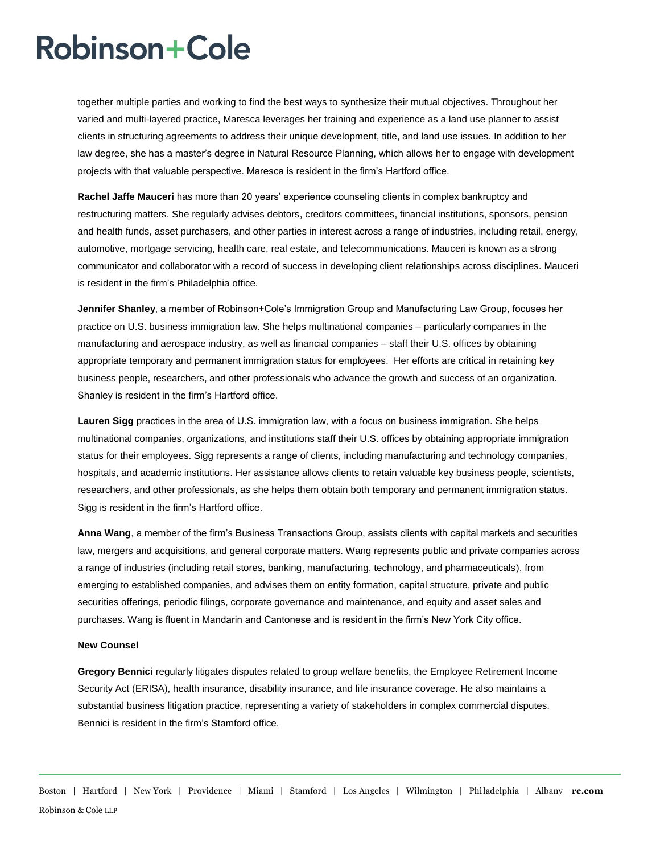### **Robinson+Cole**

together multiple parties and working to find the best ways to synthesize their mutual objectives. Throughout her varied and multi-layered practice, Maresca leverages her training and experience as a land use planner to assist clients in structuring agreements to address their unique development, title, and land use issues. In addition to her law degree, she has a master's degree in Natural Resource Planning, which allows her to engage with development projects with that valuable perspective. Maresca is resident in the firm's Hartford office.

**Rachel Jaffe Mauceri** has more than 20 years' experience counseling clients in complex bankruptcy and restructuring matters. She regularly advises debtors, creditors committees, financial institutions, sponsors, pension and health funds, asset purchasers, and other parties in interest across a range of industries, including retail, energy, automotive, mortgage servicing, health care, real estate, and telecommunications. Mauceri is known as a strong communicator and collaborator with a record of success in developing client relationships across disciplines. Mauceri is resident in the firm's Philadelphia office.

**Jennifer Shanley**, a member of Robinson+Cole's Immigration Group and Manufacturing Law Group, focuses her practice on U.S. business immigration law. She helps multinational companies – particularly companies in the manufacturing and aerospace industry, as well as financial companies – staff their U.S. offices by obtaining appropriate temporary and permanent immigration status for employees. Her efforts are critical in retaining key business people, researchers, and other professionals who advance the growth and success of an organization. Shanley is resident in the firm's Hartford office.

**Lauren Sigg** practices in the area of U.S. immigration law, with a focus on business immigration. She helps multinational companies, organizations, and institutions staff their U.S. offices by obtaining appropriate immigration status for their employees. Sigg represents a range of clients, including manufacturing and technology companies, hospitals, and academic institutions. Her assistance allows clients to retain valuable key business people, scientists, researchers, and other professionals, as she helps them obtain both temporary and permanent immigration status. Sigg is resident in the firm's Hartford office.

**Anna Wang**, a member of the firm's Business Transactions Group, assists clients with capital markets and securities law, mergers and acquisitions, and general corporate matters. Wang represents public and private companies across a range of industries (including retail stores, banking, manufacturing, technology, and pharmaceuticals), from emerging to established companies, and advises them on entity formation, capital structure, private and public securities offerings, periodic filings, corporate governance and maintenance, and equity and asset sales and purchases. Wang is fluent in Mandarin and Cantonese and is resident in the firm's New York City office.

#### **New Counsel**

**Gregory Bennici** regularly litigates disputes related to group welfare benefits, the Employee Retirement Income Security Act (ERISA), health insurance, disability insurance, and life insurance coverage. He also maintains a substantial business litigation practice, representing a variety of stakeholders in complex commercial disputes. Bennici is resident in the firm's Stamford office.

Boston | Hartford | New York | Providence | Miami | Stamford | Los Angeles | Wilmington | Philadelphia | Albany **rc.com** Robinson & Cole LLP